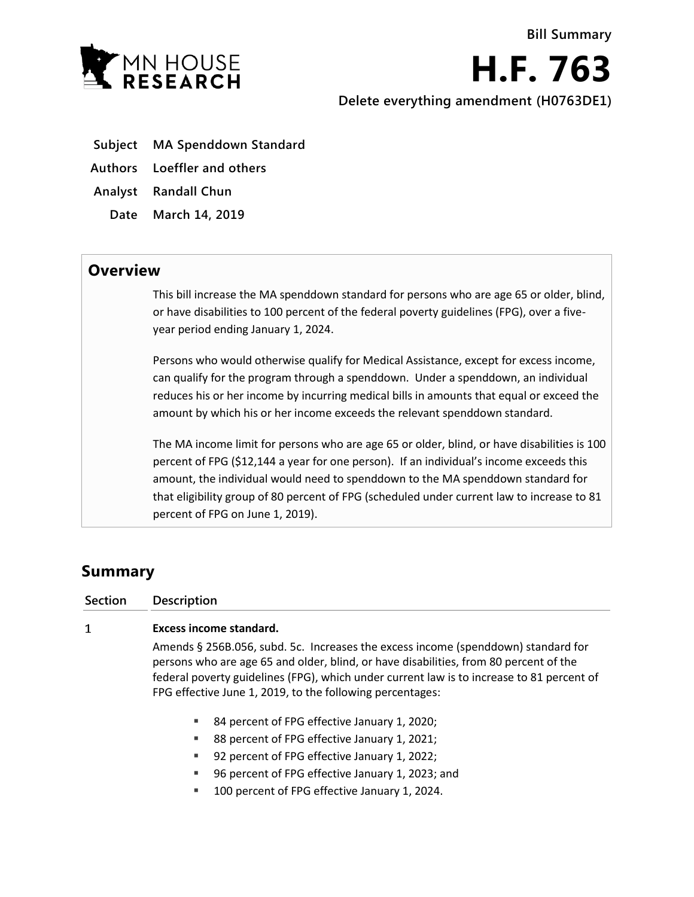

**H.F. 763 Delete everything amendment (H0763DE1)**

- **Subject MA Spenddown Standard**
- **Authors Loeffler and others**

**Analyst Randall Chun**

**Date March 14, 2019**

## **Overview**

This bill increase the MA spenddown standard for persons who are age 65 or older, blind, or have disabilities to 100 percent of the federal poverty guidelines (FPG), over a fiveyear period ending January 1, 2024.

Persons who would otherwise qualify for Medical Assistance, except for excess income, can qualify for the program through a spenddown. Under a spenddown, an individual reduces his or her income by incurring medical bills in amounts that equal or exceed the amount by which his or her income exceeds the relevant spenddown standard.

The MA income limit for persons who are age 65 or older, blind, or have disabilities is 100 percent of FPG (\$12,144 a year for one person). If an individual's income exceeds this amount, the individual would need to spenddown to the MA spenddown standard for that eligibility group of 80 percent of FPG (scheduled under current law to increase to 81 percent of FPG on June 1, 2019).

## **Summary**

 $\mathbf{1}$ 

**Section Description**

## **Excess income standard.**

Amends § 256B.056, subd. 5c. Increases the excess income (spenddown) standard for persons who are age 65 and older, blind, or have disabilities, from 80 percent of the federal poverty guidelines (FPG), which under current law is to increase to 81 percent of FPG effective June 1, 2019, to the following percentages:

- 84 percent of FPG effective January 1, 2020;
- 88 percent of FPG effective January 1, 2021;
- 92 percent of FPG effective January 1, 2022;
- 96 percent of FPG effective January 1, 2023; and
- 100 percent of FPG effective January 1, 2024.